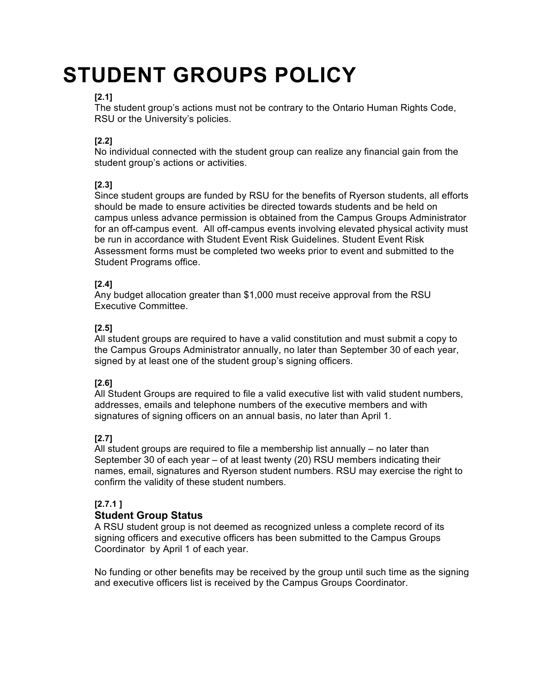# **STUDENT GROUPS POLICY**

# **[2.1]**

The student group's actions must not be contrary to the Ontario Human Rights Code, RSU or the University's policies.

## **[2.2]**

No individual connected with the student group can realize any financial gain from the student group's actions or activities.

## **[2.3]**

Since student groups are funded by RSU for the benefits of Ryerson students, all efforts should be made to ensure activities be directed towards students and be held on campus unless advance permission is obtained from the Campus Groups Administrator for an off-campus event. All off-campus events involving elevated physical activity must be run in accordance with Student Event Risk Guidelines. Student Event Risk Assessment forms must be completed two weeks prior to event and submitted to the Student Programs office.

## **[2.4]**

Any budget allocation greater than \$1,000 must receive approval from the RSU Executive Committee.

#### **[2.5]**

All student groups are required to have a valid constitution and must submit a copy to the Campus Groups Administrator annually, no later than September 30 of each year, signed by at least one of the student group's signing officers.

## **[2.6]**

All Student Groups are required to file a valid executive list with valid student numbers, addresses, emails and telephone numbers of the executive members and with signatures of signing officers on an annual basis, no later than April 1.

## **[2.7]**

All student groups are required to file a membership list annually – no later than September 30 of each year – of at least twenty (20) RSU members indicating their names, email, signatures and Ryerson student numbers. RSU may exercise the right to confirm the validity of these student numbers.

## **[2.7.1 ]**

## **Student Group Status**

A RSU student group is not deemed as recognized unless a complete record of its signing officers and executive officers has been submitted to the Campus Groups Coordinator by April 1 of each year.

No funding or other benefits may be received by the group until such time as the signing and executive officers list is received by the Campus Groups Coordinator.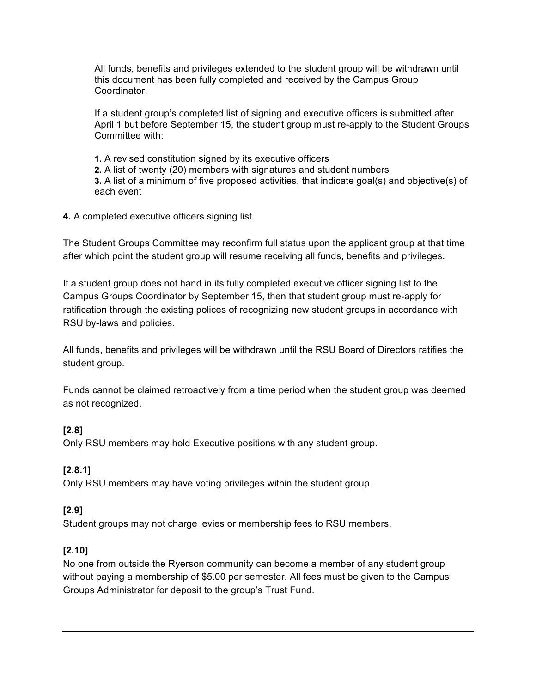All funds, benefits and privileges extended to the student group will be withdrawn until this document has been fully completed and received by the Campus Group Coordinator.

If a student group's completed list of signing and executive officers is submitted after April 1 but before September 15, the student group must re-apply to the Student Groups Committee with:

**1.** A revised constitution signed by its executive officers **2.** A list of twenty (20) members with signatures and student numbers **3.** A list of a minimum of five proposed activities, that indicate goal(s) and objective(s) of each event

#### **4.** A completed executive officers signing list.

The Student Groups Committee may reconfirm full status upon the applicant group at that time after which point the student group will resume receiving all funds, benefits and privileges.

If a student group does not hand in its fully completed executive officer signing list to the Campus Groups Coordinator by September 15, then that student group must re-apply for ratification through the existing polices of recognizing new student groups in accordance with RSU by-laws and policies.

All funds, benefits and privileges will be withdrawn until the RSU Board of Directors ratifies the student group.

Funds cannot be claimed retroactively from a time period when the student group was deemed as not recognized.

#### **[2.8]**

Only RSU members may hold Executive positions with any student group.

#### **[2.8.1]**

Only RSU members may have voting privileges within the student group.

## **[2.9]**

Student groups may not charge levies or membership fees to RSU members.

#### **[2.10]**

No one from outside the Ryerson community can become a member of any student group without paying a membership of \$5.00 per semester. All fees must be given to the Campus Groups Administrator for deposit to the group's Trust Fund.